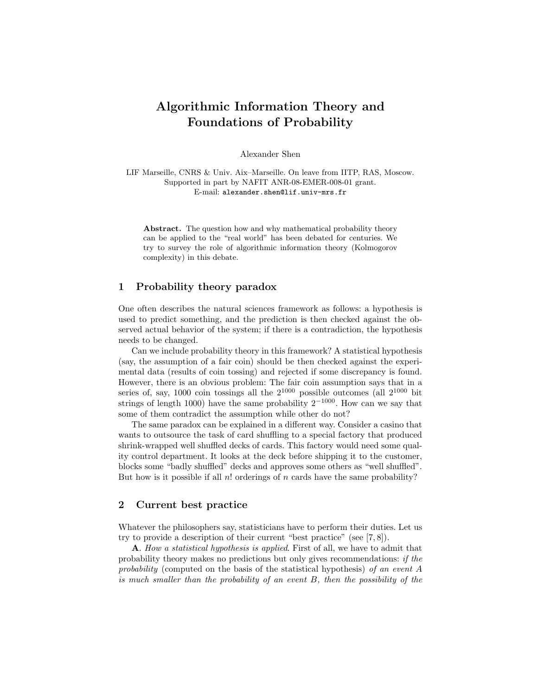# Algorithmic Information Theory and Foundations of Probability

Alexander Shen

LIF Marseille, CNRS & Univ. Aix–Marseille. On leave from IITP, RAS, Moscow. Supported in part by NAFIT ANR-08-EMER-008-01 grant. E-mail: alexander.shen@lif.univ-mrs.fr

Abstract. The question how and why mathematical probability theory can be applied to the "real world" has been debated for centuries. We try to survey the role of algorithmic information theory (Kolmogorov complexity) in this debate.

### 1 Probability theory paradox

One often describes the natural sciences framework as follows: a hypothesis is used to predict something, and the prediction is then checked against the observed actual behavior of the system; if there is a contradiction, the hypothesis needs to be changed.

Can we include probability theory in this framework? A statistical hypothesis (say, the assumption of a fair coin) should be then checked against the experimental data (results of coin tossing) and rejected if some discrepancy is found. However, there is an obvious problem: The fair coin assumption says that in a series of, say, 1000 coin tossings all the  $2^{1000}$  possible outcomes (all  $2^{1000}$  bit strings of length 1000) have the same probability  $2^{-1000}$ . How can we say that some of them contradict the assumption while other do not?

The same paradox can be explained in a different way. Consider a casino that wants to outsource the task of card shuffling to a special factory that produced shrink-wrapped well shuffled decks of cards. This factory would need some quality control department. It looks at the deck before shipping it to the customer, blocks some "badly shuffled" decks and approves some others as "well shuffled". But how is it possible if all  $n!$  orderings of  $n$  cards have the same probability?

# 2 Current best practice

Whatever the philosophers say, statisticians have to perform their duties. Let us try to provide a description of their current "best practice" (see [7, 8]).

A. How a statistical hypothesis is applied. First of all, we have to admit that probability theory makes no predictions but only gives recommendations: if the probability (computed on the basis of the statistical hypothesis) of an event A is much smaller than the probability of an event B, then the possibility of the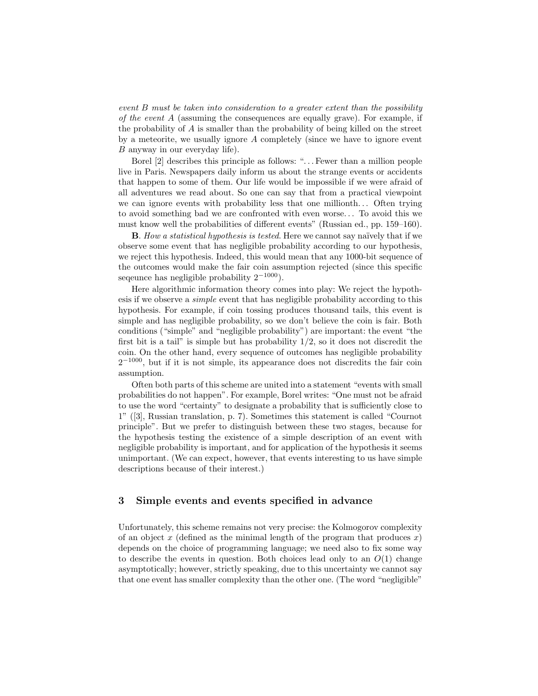event B must be taken into consideration to a greater extent than the possibility of the event A (assuming the consequences are equally grave). For example, if the probability of  $A$  is smaller than the probability of being killed on the street by a meteorite, we usually ignore A completely (since we have to ignore event B anyway in our everyday life).

Borel [2] describes this principle as follows: ". . . Fewer than a million people live in Paris. Newspapers daily inform us about the strange events or accidents that happen to some of them. Our life would be impossible if we were afraid of all adventures we read about. So one can say that from a practical viewpoint we can ignore events with probability less that one millionth... Often trying to avoid something bad we are confronted with even worse. . . To avoid this we must know well the probabilities of different events" (Russian ed., pp. 159–160).

**B.** How a statistical hypothesis is tested. Here we cannot say naïvely that if we observe some event that has negligible probability according to our hypothesis, we reject this hypothesis. Indeed, this would mean that any 1000-bit sequence of the outcomes would make the fair coin assumption rejected (since this specific seqeunce has negligible probability  $2^{-1000}$ ).

Here algorithmic information theory comes into play: We reject the hypothesis if we observe a simple event that has negligible probability according to this hypothesis. For example, if coin tossing produces thousand tails, this event is simple and has negligible probability, so we don't believe the coin is fair. Both conditions ("simple" and "negligible probability") are important: the event "the first bit is a tail" is simple but has probability  $1/2$ , so it does not discredit the coin. On the other hand, every sequence of outcomes has negligible probability  $2^{-1000}$ , but if it is not simple, its appearance does not discredits the fair coin assumption.

Often both parts of this scheme are united into a statement "events with small probabilities do not happen". For example, Borel writes: "One must not be afraid to use the word "certainty" to designate a probability that is sufficiently close to 1" ([3], Russian translation, p. 7). Sometimes this statement is called "Cournot principle". But we prefer to distinguish between these two stages, because for the hypothesis testing the existence of a simple description of an event with negligible probability is important, and for application of the hypothesis it seems unimportant. (We can expect, however, that events interesting to us have simple descriptions because of their interest.)

### 3 Simple events and events specified in advance

Unfortunately, this scheme remains not very precise: the Kolmogorov complexity of an object x (defined as the minimal length of the program that produces x) depends on the choice of programming language; we need also to fix some way to describe the events in question. Both choices lead only to an  $O(1)$  change asymptotically; however, strictly speaking, due to this uncertainty we cannot say that one event has smaller complexity than the other one. (The word "negligible"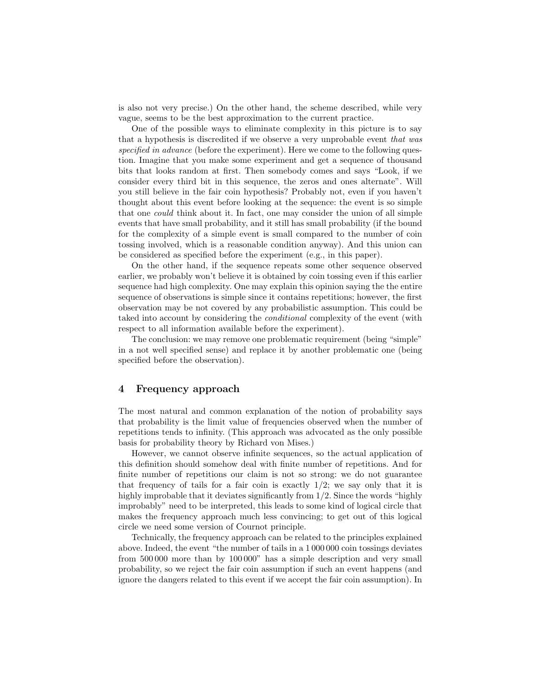is also not very precise.) On the other hand, the scheme described, while very vague, seems to be the best approximation to the current practice.

One of the possible ways to eliminate complexity in this picture is to say that a hypothesis is discredited if we observe a very unprobable event that was specified in advance (before the experiment). Here we come to the following question. Imagine that you make some experiment and get a sequence of thousand bits that looks random at first. Then somebody comes and says "Look, if we consider every third bit in this sequence, the zeros and ones alternate". Will you still believe in the fair coin hypothesis? Probably not, even if you haven't thought about this event before looking at the sequence: the event is so simple that one could think about it. In fact, one may consider the union of all simple events that have small probability, and it still has small probability (if the bound for the complexity of a simple event is small compared to the number of coin tossing involved, which is a reasonable condition anyway). And this union can be considered as specified before the experiment (e.g., in this paper).

On the other hand, if the sequence repeats some other sequence observed earlier, we probably won't believe it is obtained by coin tossing even if this earlier sequence had high complexity. One may explain this opinion saying the the entire sequence of observations is simple since it contains repetitions; however, the first observation may be not covered by any probabilistic assumption. This could be taked into account by considering the conditional complexity of the event (with respect to all information available before the experiment).

The conclusion: we may remove one problematic requirement (being "simple" in a not well specified sense) and replace it by another problematic one (being specified before the observation).

## 4 Frequency approach

The most natural and common explanation of the notion of probability says that probability is the limit value of frequencies observed when the number of repetitions tends to infinity. (This approach was advocated as the only possible basis for probability theory by Richard von Mises.)

However, we cannot observe infinite sequences, so the actual application of this definition should somehow deal with finite number of repetitions. And for finite number of repetitions our claim is not so strong: we do not guarantee that frequency of tails for a fair coin is exactly  $1/2$ ; we say only that it is highly improbable that it deviates significantly from  $1/2$ . Since the words "highly improbably" need to be interpreted, this leads to some kind of logical circle that makes the frequency approach much less convincing; to get out of this logical circle we need some version of Cournot principle.

Technically, the frequency approach can be related to the principles explained above. Indeed, the event "the number of tails in a 1 000 000 coin tossings deviates from 500 000 more than by 100 000" has a simple description and very small probability, so we reject the fair coin assumption if such an event happens (and ignore the dangers related to this event if we accept the fair coin assumption). In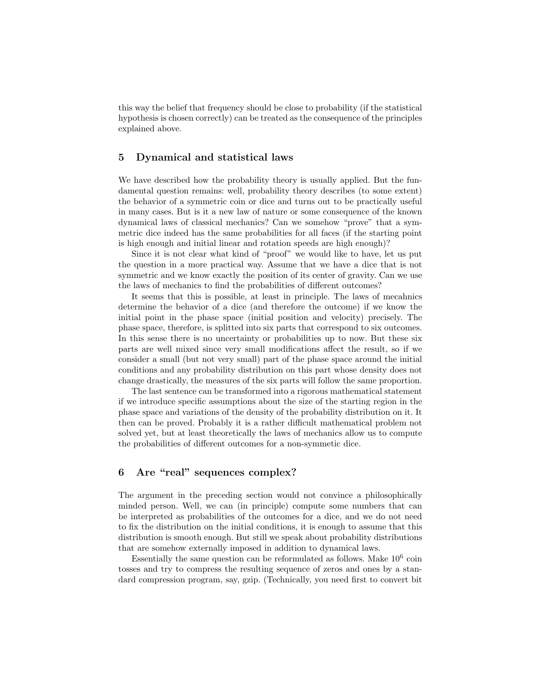this way the belief that frequency should be close to probability (if the statistical hypothesis is chosen correctly) can be treated as the consequence of the principles explained above.

## 5 Dynamical and statistical laws

We have described how the probability theory is usually applied. But the fundamental question remains: well, probability theory describes (to some extent) the behavior of a symmetric coin or dice and turns out to be practically useful in many cases. But is it a new law of nature or some consequence of the known dynamical laws of classical mechanics? Can we somehow "prove" that a symmetric dice indeed has the same probabilities for all faces (if the starting point is high enough and initial linear and rotation speeds are high enough)?

Since it is not clear what kind of "proof" we would like to have, let us put the question in a more practical way. Assume that we have a dice that is not symmetric and we know exactly the position of its center of gravity. Can we use the laws of mechanics to find the probabilities of different outcomes?

It seems that this is possible, at least in principle. The laws of mecahnics determine the behavior of a dice (and therefore the outcome) if we know the initial point in the phase space (initial position and velocity) precisely. The phase space, therefore, is splitted into six parts that correspond to six outcomes. In this sense there is no uncertainty or probabilities up to now. But these six parts are well mixed since very small modifications affect the result, so if we consider a small (but not very small) part of the phase space around the initial conditions and any probability distribution on this part whose density does not change drastically, the measures of the six parts will follow the same proportion.

The last sentence can be transformed into a rigorous mathematical statement if we introduce specific assumptions about the size of the starting region in the phase space and variations of the density of the probability distribution on it. It then can be proved. Probably it is a rather difficult mathematical problem not solved yet, but at least theoretically the laws of mechanics allow us to compute the probabilities of different outcomes for a non-symmetic dice.

# 6 Are "real" sequences complex?

The argument in the preceding section would not convince a philosophically minded person. Well, we can (in principle) compute some numbers that can be interpreted as probabilities of the outcomes for a dice, and we do not need to fix the distribution on the initial conditions, it is enough to assume that this distribution is smooth enough. But still we speak about probability distributions that are somehow externally imposed in addition to dynamical laws.

Essentially the same question can be reformulated as follows. Make  $10^6$  coin tosses and try to compress the resulting sequence of zeros and ones by a standard compression program, say, gzip. (Technically, you need first to convert bit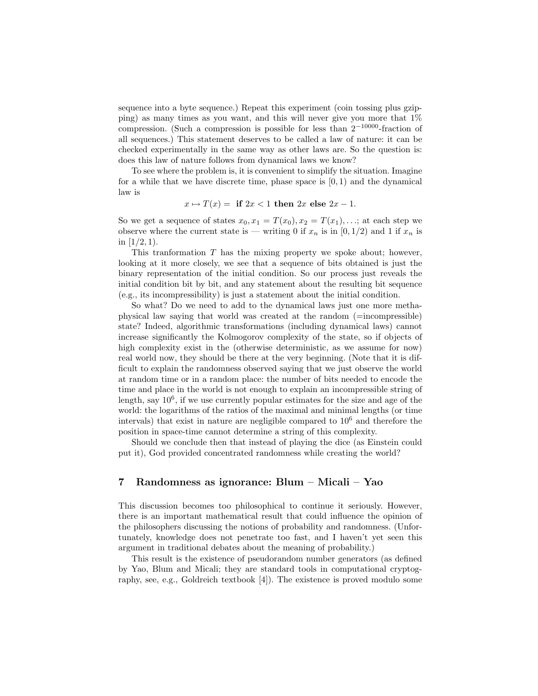sequence into a byte sequence.) Repeat this experiment (coin tossing plus gzipping) as many times as you want, and this will never give you more that 1% compression. (Such a compression is possible for less than  $2^{-10000}$ -fraction of all sequences.) This statement deserves to be called a law of nature: it can be checked experimentally in the same way as other laws are. So the question is: does this law of nature follows from dynamical laws we know?

To see where the problem is, it is convenient to simplify the situation. Imagine for a while that we have discrete time, phase space is  $[0,1)$  and the dynamical law is

$$
x \mapsto T(x) =
$$
 if  $2x < 1$  then  $2x$  else  $2x - 1$ .

So we get a sequence of states  $x_0, x_1 = T(x_0), x_2 = T(x_1), \ldots$ ; at each step we observe where the current state is — writing 0 if  $x_n$  is in [0, 1/2) and 1 if  $x_n$  is in  $[1/2, 1)$ .

This transformation  $T$  has the mixing property we spoke about; however, looking at it more closely, we see that a sequence of bits obtained is just the binary representation of the initial condition. So our process just reveals the initial condition bit by bit, and any statement about the resulting bit sequence (e.g., its incompressibility) is just a statement about the initial condition.

So what? Do we need to add to the dynamical laws just one more methaphysical law saying that world was created at the random (=incompressible) state? Indeed, algorithmic transformations (including dynamical laws) cannot increase significantly the Kolmogorov complexity of the state, so if objects of high complexity exist in the (otherwise deterministic, as we assume for now) real world now, they should be there at the very beginning. (Note that it is difficult to explain the randomness observed saying that we just observe the world at random time or in a random place: the number of bits needed to encode the time and place in the world is not enough to explain an incompressible string of length, say  $10^6$ , if we use currently popular estimates for the size and age of the world: the logarithms of the ratios of the maximal and minimal lengths (or time intervals) that exist in nature are negligible compared to  $10<sup>6</sup>$  and therefore the position in space-time cannot determine a string of this complexity.

Should we conclude then that instead of playing the dice (as Einstein could put it), God provided concentrated randomness while creating the world?

## 7 Randomness as ignorance: Blum – Micali – Yao

This discussion becomes too philosophical to continue it seriously. However, there is an important mathematical result that could influence the opinion of the philosophers discussing the notions of probability and randomness. (Unfortunately, knowledge does not penetrate too fast, and I haven't yet seen this argument in traditional debates about the meaning of probability.)

This result is the existence of pseudorandom number generators (as defined by Yao, Blum and Micali; they are standard tools in computational cryptography, see, e.g., Goldreich textbook [4]). The existence is proved modulo some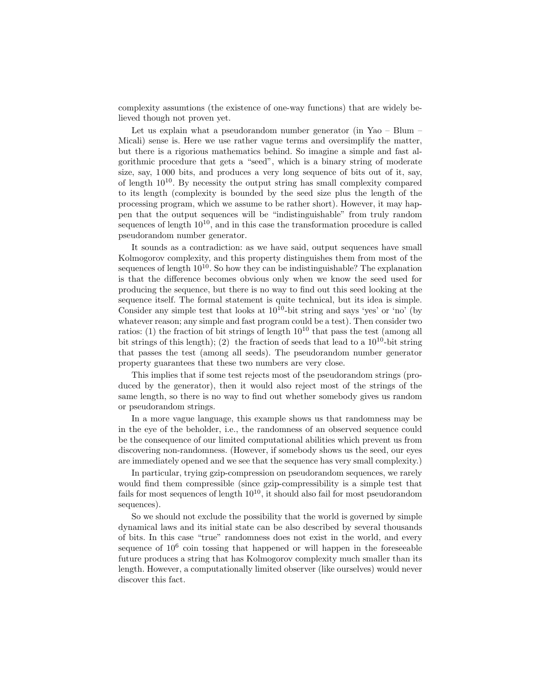complexity assumtions (the existence of one-way functions) that are widely believed though not proven yet.

Let us explain what a pseudorandom number generator (in Yao – Blum – Micali) sense is. Here we use rather vague terms and oversimplify the matter, but there is a rigorious mathematics behind. So imagine a simple and fast algorithmic procedure that gets a "seed", which is a binary string of moderate size, say, 1 000 bits, and produces a very long sequence of bits out of it, say, of length  $10^{10}$ . By necessity the output string has small complexity compared to its length (complexity is bounded by the seed size plus the length of the processing program, which we assume to be rather short). However, it may happen that the output sequences will be "indistinguishable" from truly random sequences of length  $10^{10}$ , and in this case the transformation procedure is called pseudorandom number generator.

It sounds as a contradiction: as we have said, output sequences have small Kolmogorov complexity, and this property distinguishes them from most of the sequences of length  $10^{10}$ . So how they can be indistinguishable? The explanation is that the difference becomes obvious only when we know the seed used for producing the sequence, but there is no way to find out this seed looking at the sequence itself. The formal statement is quite technical, but its idea is simple. Consider any simple test that looks at  $10^{10}$ -bit string and says 'yes' or 'no' (by whatever reason; any simple and fast program could be a test). Then consider two ratios: (1) the fraction of bit strings of length  $10^{10}$  that pass the test (among all bit strings of this length); (2) the fraction of seeds that lead to a  $10^{10}$ -bit string that passes the test (among all seeds). The pseudorandom number generator property guarantees that these two numbers are very close.

This implies that if some test rejects most of the pseudorandom strings (produced by the generator), then it would also reject most of the strings of the same length, so there is no way to find out whether somebody gives us random or pseudorandom strings.

In a more vague language, this example shows us that randomness may be in the eye of the beholder, i.e., the randomness of an observed sequence could be the consequence of our limited computational abilities which prevent us from discovering non-randomness. (However, if somebody shows us the seed, our eyes are immediately opened and we see that the sequence has very small complexity.)

In particular, trying gzip-compression on pseudorandom sequences, we rarely would find them compressible (since gzip-compressibility is a simple test that fails for most sequences of length  $10^{10}$ , it should also fail for most pseudorandom sequences).

So we should not exclude the possibility that the world is governed by simple dynamical laws and its initial state can be also described by several thousands of bits. In this case "true" randomness does not exist in the world, and every sequence of  $10^6$  coin tossing that happened or will happen in the foreseeable future produces a string that has Kolmogorov complexity much smaller than its length. However, a computationally limited observer (like ourselves) would never discover this fact.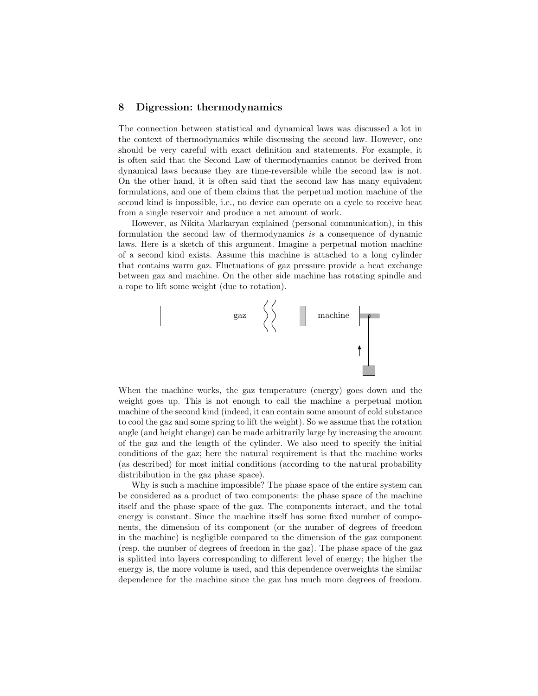## 8 Digression: thermodynamics

The connection between statistical and dynamical laws was discussed a lot in the context of thermodynamics while discussing the second law. However, one should be very careful with exact definition and statements. For example, it is often said that the Second Law of thermodynamics cannot be derived from dynamical laws because they are time-reversible while the second law is not. On the other hand, it is often said that the second law has many equivalent formulations, and one of them claims that the perpetual motion machine of the second kind is impossible, i.e., no device can operate on a cycle to receive heat from a single reservoir and produce a net amount of work.

However, as Nikita Markaryan explained (personal communication), in this formulation the second law of thermodynamics is a consequence of dynamic laws. Here is a sketch of this argument. Imagine a perpetual motion machine of a second kind exists. Assume this machine is attached to a long cylinder that contains warm gaz. Fluctuations of gaz pressure provide a heat exchange between gaz and machine. On the other side machine has rotating spindle and a rope to lift some weight (due to rotation).



When the machine works, the gaz temperature (energy) goes down and the weight goes up. This is not enough to call the machine a perpetual motion machine of the second kind (indeed, it can contain some amount of cold substance to cool the gaz and some spring to lift the weight). So we assume that the rotation angle (and height change) can be made arbitrarily large by increasing the amount of the gaz and the length of the cylinder. We also need to specify the initial conditions of the gaz; here the natural requirement is that the machine works (as described) for most initial conditions (according to the natural probability distribibution in the gaz phase space).

Why is such a machine impossible? The phase space of the entire system can be considered as a product of two components: the phase space of the machine itself and the phase space of the gaz. The components interact, and the total energy is constant. Since the machine itself has some fixed number of components, the dimension of its component (or the number of degrees of freedom in the machine) is negligible compared to the dimension of the gaz component (resp. the number of degrees of freedom in the gaz). The phase space of the gaz is splitted into layers corresponding to different level of energy; the higher the energy is, the more volume is used, and this dependence overweights the similar dependence for the machine since the gaz has much more degrees of freedom.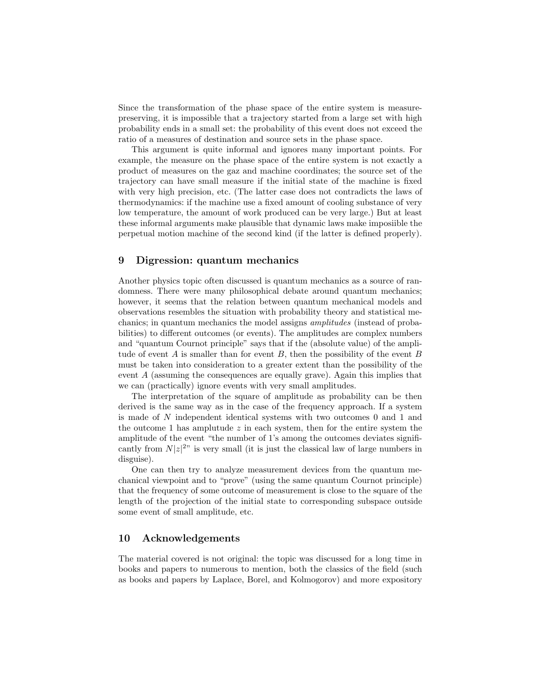Since the transformation of the phase space of the entire system is measurepreserving, it is impossible that a trajectory started from a large set with high probability ends in a small set: the probability of this event does not exceed the ratio of a measures of destination and source sets in the phase space.

This argument is quite informal and ignores many important points. For example, the measure on the phase space of the entire system is not exactly a product of measures on the gaz and machine coordinates; the source set of the trajectory can have small measure if the initial state of the machine is fixed with very high precision, etc. (The latter case does not contradicts the laws of thermodynamics: if the machine use a fixed amount of cooling substance of very low temperature, the amount of work produced can be very large.) But at least these informal arguments make plausible that dynamic laws make imposiible the perpetual motion machine of the second kind (if the latter is defined properly).

## 9 Digression: quantum mechanics

Another physics topic often discussed is quantum mechanics as a source of randomness. There were many philosophical debate around quantum mechanics; however, it seems that the relation between quantum mechanical models and observations resembles the situation with probability theory and statistical mechanics; in quantum mechanics the model assigns amplitudes (instead of probabilities) to different outcomes (or events). The amplitudes are complex numbers and "quantum Cournot principle" says that if the (absolute value) of the amplitude of event A is smaller than for event B, then the possibility of the event B must be taken into consideration to a greater extent than the possibility of the event  $A$  (assuming the consequences are equally grave). Again this implies that we can (practically) ignore events with very small amplitudes.

The interpretation of the square of amplitude as probability can be then derived is the same way as in the case of the frequency approach. If a system is made of N independent identical systems with two outcomes 0 and 1 and the outcome 1 has amplutude  $z$  in each system, then for the entire system the amplitude of the event "the number of 1's among the outcomes deviates significantly from  $N|z|^{2^m}$  is very small (it is just the classical law of large numbers in disguise).

One can then try to analyze measurement devices from the quantum mechanical viewpoint and to "prove" (using the same quantum Cournot principle) that the frequency of some outcome of measurement is close to the square of the length of the projection of the initial state to corresponding subspace outside some event of small amplitude, etc.

# 10 Acknowledgements

The material covered is not original: the topic was discussed for a long time in books and papers to numerous to mention, both the classics of the field (such as books and papers by Laplace, Borel, and Kolmogorov) and more expository